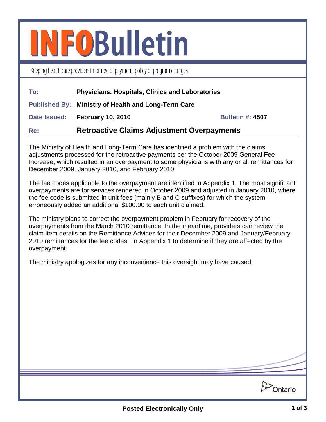## **INFOBulletin**

Keeping health care providers informed of payment, policy or program changes

| To:        | <b>Physicians, Hospitals, Clinics and Laboratories</b>     |                         |
|------------|------------------------------------------------------------|-------------------------|
|            | <b>Published By: Ministry of Health and Long-Term Care</b> |                         |
|            | Date Issued: February 10, 2010                             | <b>Bulletin #: 4507</b> |
| <b>Re:</b> | <b>Retroactive Claims Adjustment Overpayments</b>          |                         |

The Ministry of Health and Long-Term Care has identified a problem with the claims adjustments processed for the retroactive payments per the October 2009 General Fee Increase, which resulted in an overpayment to some physicians with any or all remittances for December 2009, January 2010, and February 2010.

The fee codes applicable to the overpayment are identified in Appendix 1. The most significant overpayments are for services rendered in October 2009 and adjusted in January 2010, where the fee code is submitted in unit fees (mainly B and C suffixes) for which the system erroneously added an additional \$100.00 to each unit claimed.

The ministry plans to correct the overpayment problem in February for recovery of the overpayments from the March 2010 remittance. In the meantime, providers can review the claim item details on the Remittance Advices for their December 2009 and January/February 2010 remittances for the fee codes in Appendix 1 to determine if they are affected by the overpayment.

The ministry apologizes for any inconvenience this oversight may have caused.

**Dontario**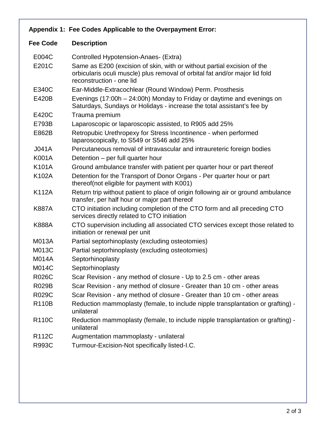## **Appendix 1: Fee Codes Applicable to the Overpayment Error: Fee Code Description** E004C Controlled Hypotension-Anaes- (Extra) E201C Same as E200 (excision of skin, with or without partial excision of the orbicularis oculi muscle) plus removal of orbital fat and/or major lid fold reconstruction - one lid

- E340C Ear-Middle-Extracochlear (Round Window) Perm. Prosthesis
- E420B Evenings (17:00h 24:00h) Monday to Friday or daytime and evenings on Saturdays, Sundays or Holidays - increase the total assistant's fee by
- E420C Trauma premium
- E793B Laparoscopic or laparoscopic assisted, to R905 add 25%
- E862B Retropubic Urethropexy for Stress Incontinence when performed laparoscopically, to S549 or S546 add 25%
- J041A Percutaneous removal of intravascular and intraureteric foreign bodies
- K001A Detention per full quarter hour
- K101A Ground ambulance transfer with patient per quarter hour or part thereof
- K102A Detention for the Transport of Donor Organs Per quarter hour or part thereof(not eligible for payment with K001)
- K112A Return trip without patient to place of origin following air or ground ambulance transfer, per half hour or major part thereof
- K887A CTO initiation including completion of the CTO form and all preceding CTO services directly related to CTO initiation
- K888A CTO supervision including all associated CTO services except those related to initiation or renewal per unit
- M013A Partial septorhinoplasty (excluding osteotomies)
- M013C Partial septorhinoplasty (excluding osteotomies)
- M014A Septorhinoplasty
- M014C Septorhinoplasty
- R026C Scar Revision any method of closure Up to 2.5 cm other areas
- R029B Scar Revision any method of closure Greater than 10 cm other areas
- R029C Scar Revision any method of closure Greater than 10 cm other areas
- R110B Reduction mammoplasty (female, to include nipple transplantation or grafting) unilateral
- R110C Reduction mammoplasty (female, to include nipple transplantation or grafting) unilateral
- R112C Augmentation mammoplasty unilateral
- R993C Turmour-Excision-Not specifically listed-I.C.